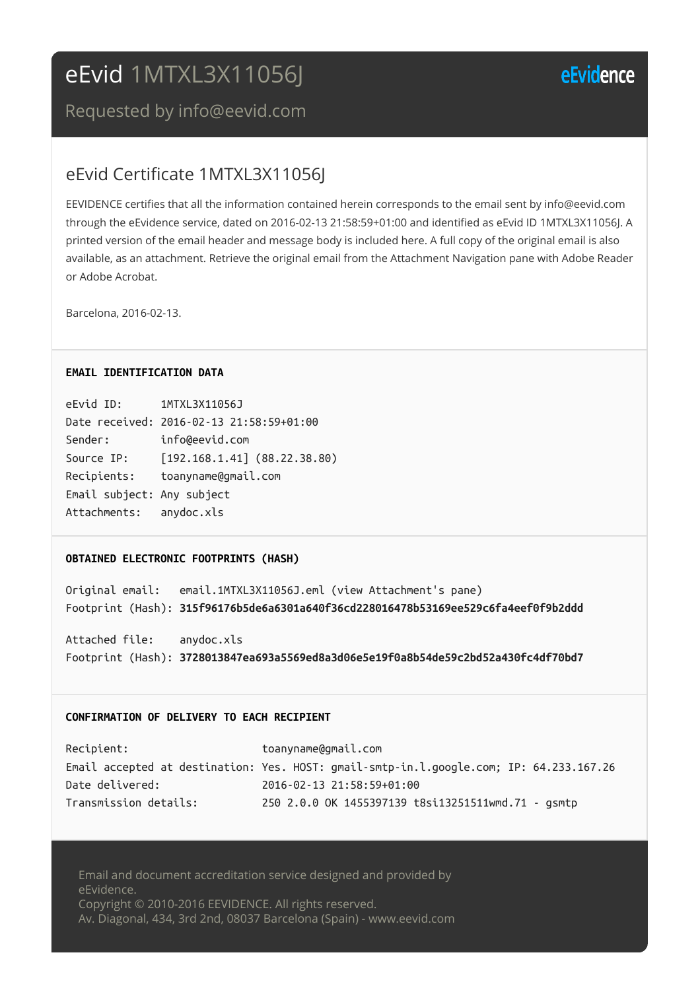# eEvid 1MTXL3X11056J

## eEvidence

Requested by info@eevid.com

### eEvid Certificate 1MTXL3X11056J

EEVIDENCE certifies that all the information contained herein corresponds to the email sent by info@eevid.com through the eEvidence service, dated on 2016-02-13 21:58:59+01:00 and identified as eEvid ID 1MTXL3X11056J. A printed version of the email header and message body is included here. A full copy of the original email is also available, as an attachment. Retrieve the original email from the Attachment Navigation pane with Adobe Reader or Adobe Acrobat.

Barcelona, 2016-02-13.

#### **EMAIL IDENTIFICATION DATA**

| eEvid ID:                  | 1MTXL3X11056J                            |
|----------------------------|------------------------------------------|
|                            | Date received: 2016-02-13 21:58:59+01:00 |
| Sender:                    | info@eevid.com                           |
| Source IP:                 | $[192.168.1.41]$ (88.22.38.80)           |
| Recipients:                | toanyname@gmail.com                      |
| Email subject: Any subject |                                          |
| Attachments: anydoc.xls    |                                          |

#### **OBTAINED ELECTRONIC FOOTPRINTS (HASH)**

Original email: email.1MTXL3X11056J.eml (view Attachment's pane) Footprint (Hash): **315f96176b5de6a6301a640f36cd228016478b53169ee529c6fa4eef0f9b2ddd**

Attached file: anydoc.xls Footprint (Hash): **3728013847ea693a5569ed8a3d06e5e19f0a8b54de59c2bd52a430fc4df70bd7**

#### **CONFIRMATION OF DELIVERY TO EACH RECIPIENT**

| Recipient:            | toanyname@gmail.com                                                                     |
|-----------------------|-----------------------------------------------------------------------------------------|
|                       | Email accepted at destination: Yes. HOST: gmail-smtp-in.l.google.com; IP: 64.233.167.26 |
| Date delivered:       | 2016-02-13 21:58:59+01:00                                                               |
| Transmission details: | 250 2.0.0 OK 1455397139 t8si13251511wmd.71 - gsmtp                                      |

Email and document accreditation service designed and provided by eEvidence. Copyright © 2010-2016 EEVIDENCE. All rights reserved. Av. Diagonal, 434, 3rd 2nd, 08037 Barcelona (Spain) - www.eevid.com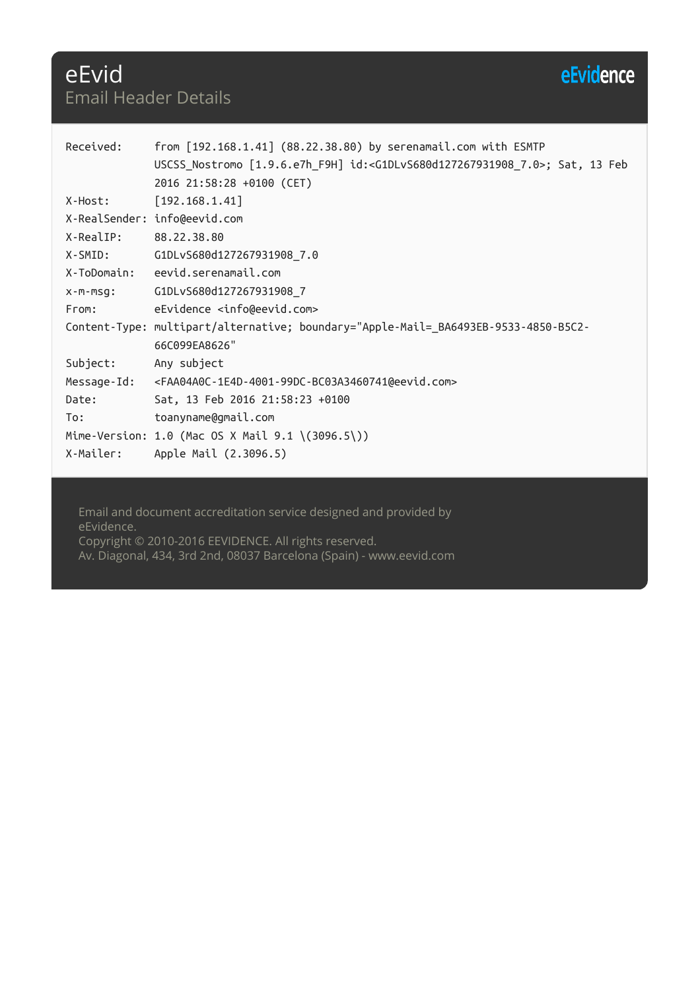# eEvidence

## eEvid Email Header Details

| Received:   | from $[192.168.1.41]$ $(88.22.38.80)$ by serenamail.com with ESMTP<br>USCSS Nostromo [1.9.6.e7h_F9H] id: <g1dlvs680d127267931908_7.0>; Sat, 13 Feb<br/>2016 21:58:28 +0100 (CET)</g1dlvs680d127267931908_7.0> |
|-------------|---------------------------------------------------------------------------------------------------------------------------------------------------------------------------------------------------------------|
| X-Host:     | [192.168.1.41]                                                                                                                                                                                                |
|             | X-RealSender: info@eevid.com                                                                                                                                                                                  |
| X-RealIP:   | 88.22.38.80                                                                                                                                                                                                   |
| X-SMID:     | G1DLvS680d127267931908_7.0                                                                                                                                                                                    |
| X-ToDomain: | eevid.serenamail.com                                                                                                                                                                                          |
| X-M-MSG:    | G1DLvS680d127267931908_7                                                                                                                                                                                      |
| From:       | eEvidence <info@eevid.com></info@eevid.com>                                                                                                                                                                   |
|             | Content-Type: multipart/alternative; boundary="Apple-Mail=_BA6493EB-9533-4850-B5C2-<br>66C099EA8626"                                                                                                          |
| Subject:    | Any subject                                                                                                                                                                                                   |
| Message-Id: | <faa04a0c-1e4d-4001-99dc-bc03a3460741@eevid.com></faa04a0c-1e4d-4001-99dc-bc03a3460741@eevid.com>                                                                                                             |
| Date:       | Sat, 13 Feb 2016 21:58:23 +0100                                                                                                                                                                               |
| To:         | toanyname@gmail.com                                                                                                                                                                                           |
|             | Mime-Version: 1.0 (Mac OS X Mail 9.1 \(3096.5\))                                                                                                                                                              |
| X-Mailer:   | Apple Mail (2.3096.5)                                                                                                                                                                                         |

Email and document accreditation service designed and provided by eEvidence. Copyright © 2010-2016 EEVIDENCE. All rights reserved. Av. Diagonal, 434, 3rd 2nd, 08037 Barcelona (Spain) - www.eevid.com